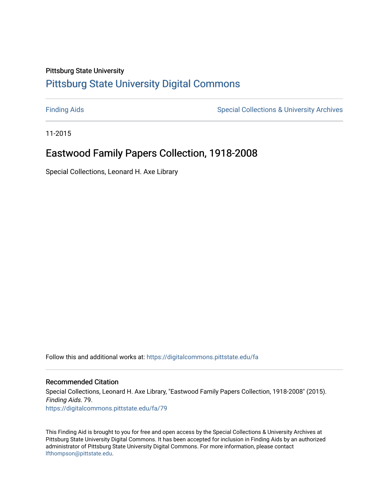## Pittsburg State University [Pittsburg State University Digital Commons](https://digitalcommons.pittstate.edu/)

[Finding Aids](https://digitalcommons.pittstate.edu/fa) **Special Collections & University Archives** Special Collections & University Archives

11-2015

# Eastwood Family Papers Collection, 1918-2008

Special Collections, Leonard H. Axe Library

Follow this and additional works at: [https://digitalcommons.pittstate.edu/fa](https://digitalcommons.pittstate.edu/fa?utm_source=digitalcommons.pittstate.edu%2Ffa%2F79&utm_medium=PDF&utm_campaign=PDFCoverPages) 

#### Recommended Citation

Special Collections, Leonard H. Axe Library, "Eastwood Family Papers Collection, 1918-2008" (2015). Finding Aids. 79. [https://digitalcommons.pittstate.edu/fa/79](https://digitalcommons.pittstate.edu/fa/79?utm_source=digitalcommons.pittstate.edu%2Ffa%2F79&utm_medium=PDF&utm_campaign=PDFCoverPages) 

This Finding Aid is brought to you for free and open access by the Special Collections & University Archives at Pittsburg State University Digital Commons. It has been accepted for inclusion in Finding Aids by an authorized administrator of Pittsburg State University Digital Commons. For more information, please contact [lfthompson@pittstate.edu.](mailto:lfthompson@pittstate.edu)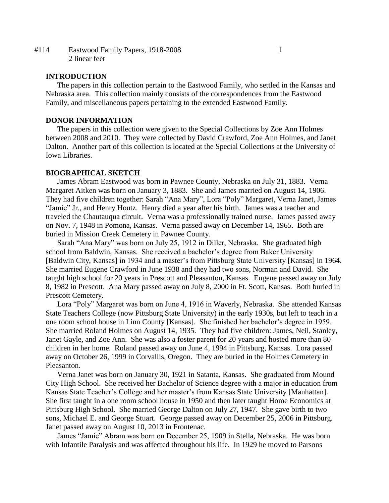#114 Eastwood Family Papers, 1918-2008 1 2 linear feet

#### **INTRODUCTION**

The papers in this collection pertain to the Eastwood Family, who settled in the Kansas and Nebraska area. This collection mainly consists of the correspondences from the Eastwood Family, and miscellaneous papers pertaining to the extended Eastwood Family.

#### **DONOR INFORMATION**

The papers in this collection were given to the Special Collections by Zoe Ann Holmes between 2008 and 2010. They were collected by David Crawford, Zoe Ann Holmes, and Janet Dalton. Another part of this collection is located at the Special Collections at the University of Iowa Libraries.

#### **BIOGRAPHICAL SKETCH**

James Abram Eastwood was born in Pawnee County, Nebraska on July 31, 1883. Verna Margaret Aitken was born on January 3, 1883. She and James married on August 14, 1906. They had five children together: Sarah "Ana Mary", Lora "Poly" Margaret, Verna Janet, James "Jamie" Jr., and Henry Houtz. Henry died a year after his birth. James was a teacher and traveled the Chautauqua circuit. Verna was a professionally trained nurse. James passed away on Nov. 7, 1948 in Pomona, Kansas. Verna passed away on December 14, 1965. Both are buried in Mission Creek Cemetery in Pawnee County.

Sarah "Ana Mary" was born on July 25, 1912 in Diller, Nebraska. She graduated high school from Baldwin, Kansas. She received a bachelor's degree from Baker University [Baldwin City, Kansas] in 1934 and a master's from Pittsburg State University [Kansas] in 1964. She married Eugene Crawford in June 1938 and they had two sons, Norman and David. She taught high school for 20 years in Prescott and Pleasanton, Kansas. Eugene passed away on July 8, 1982 in Prescott. Ana Mary passed away on July 8, 2000 in Ft. Scott, Kansas. Both buried in Prescott Cemetery.

Lora "Poly" Margaret was born on June 4, 1916 in Waverly, Nebraska. She attended Kansas State Teachers College (now Pittsburg State University) in the early 1930s, but left to teach in a one room school house in Linn County [Kansas]. She finished her bachelor's degree in 1959. She married Roland Holmes on August 14, 1935. They had five children: James, Neil, Stanley, Janet Gayle, and Zoe Ann. She was also a foster parent for 20 years and hosted more than 80 children in her home. Roland passed away on June 4, 1994 in Pittsburg, Kansas. Lora passed away on October 26, 1999 in Corvallis, Oregon. They are buried in the Holmes Cemetery in Pleasanton.

Verna Janet was born on January 30, 1921 in Satanta, Kansas. She graduated from Mound City High School. She received her Bachelor of Science degree with a major in education from Kansas State Teacher's College and her master's from Kansas State University [Manhattan]. She first taught in a one room school house in 1950 and then later taught Home Economics at Pittsburg High School. She married George Dalton on July 27, 1947. She gave birth to two sons, Michael E. and George Stuart. George passed away on December 25, 2006 in Pittsburg. Janet passed away on August 10, 2013 in Frontenac.

James "Jamie" Abram was born on December 25, 1909 in Stella, Nebraska. He was born with Infantile Paralysis and was affected throughout his life. In 1929 he moved to Parsons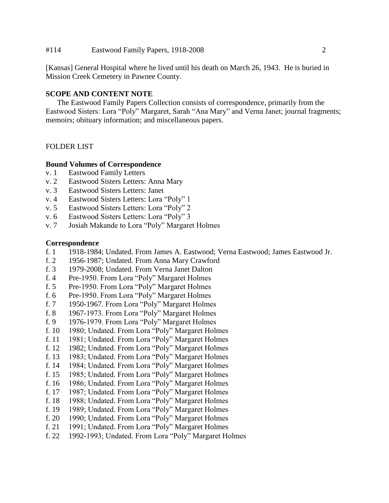#### #114 Eastwood Family Papers, 1918-2008 2

[Kansas] General Hospital where he lived until his death on March 26, 1943. He is buried in Mission Creek Cemetery in Pawnee County.

#### **SCOPE AND CONTENT NOTE**

The Eastwood Family Papers Collection consists of correspondence, primarily from the Eastwood Sisters: Lora "Poly" Margaret, Sarah "Ana Mary" and Verna Janet; journal fragments; memoirs; obituary information; and miscellaneous papers.

#### FOLDER LIST

#### **Bound Volumes of Correspondence**

- v. 1 Eastwood Family Letters
- v. 2 Eastwood Sisters Letters: Anna Mary
- v. 3 Eastwood Sisters Letters: Janet
- v. 4 Eastwood Sisters Letters: Lora "Poly" 1
- v. 5 Eastwood Sisters Letters: Lora "Poly" 2
- v. 6 Eastwood Sisters Letters: Lora "Poly" 3
- v. 7 Josiah Makande to Lora "Poly" Margaret Holmes

#### **Correspondence**

- f. 1 1918-1984; Undated. From James A. Eastwood; Verna Eastwood; James Eastwood Jr.
- f. 2 1956-1987; Undated. From Anna Mary Crawford
- f. 3 1979-2008; Undated. From Verna Janet Dalton
- f. 4 Pre-1950. From Lora "Poly" Margaret Holmes
- f. 5 Pre-1950. From Lora "Poly" Margaret Holmes
- f. 6 Pre-1950. From Lora "Poly" Margaret Holmes
- f. 7 1950-1967. From Lora "Poly" Margaret Holmes
- f. 8 1967-1973. From Lora "Poly" Margaret Holmes
- f. 9 1976-1979. From Lora "Poly" Margaret Holmes
- f. 10 1980; Undated. From Lora "Poly" Margaret Holmes
- f. 11 1981; Undated. From Lora "Poly" Margaret Holmes
- f. 12 1982; Undated. From Lora "Poly" Margaret Holmes
- f. 13 1983; Undated. From Lora "Poly" Margaret Holmes
- f. 14 1984; Undated. From Lora "Poly" Margaret Holmes
- f. 15 1985; Undated. From Lora "Poly" Margaret Holmes
- f. 16 1986; Undated. From Lora "Poly" Margaret Holmes
- f. 17 1987; Undated. From Lora "Poly" Margaret Holmes
- f. 18 1988; Undated. From Lora "Poly" Margaret Holmes
- f. 19 1989; Undated. From Lora "Poly" Margaret Holmes
- f. 20 1990; Undated. From Lora "Poly" Margaret Holmes
- f. 21 1991; Undated. From Lora "Poly" Margaret Holmes
- f. 22 1992-1993; Undated. From Lora "Poly" Margaret Holmes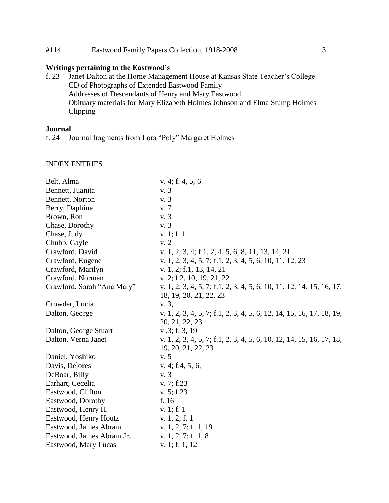#### #114 Eastwood Family Papers Collection, 1918-2008 3

#### **Writings pertaining to the Eastwood's**

f. 23 Janet Dalton at the Home Management House at Kansas State Teacher's College CD of Photographs of Extended Eastwood Family Addresses of Descendants of Henry and Mary Eastwood Obituary materials for Mary Elizabeth Holmes Johnson and Elma Stump Holmes Clipping

# **Journal**<br>**f.** 24 **J**<sub>(</sub>

Journal fragments from Lora "Poly" Margaret Holmes

#### INDEX ENTRIES

| Belt, Alma                 | v. 4; f. 4, 5, 6                                                     |
|----------------------------|----------------------------------------------------------------------|
| Bennett, Juanita           | v. 3                                                                 |
| Bennett, Norton            | v. 3                                                                 |
| Berry, Daphine             | v. 7                                                                 |
| Brown, Ron                 | v. 3                                                                 |
| Chase, Dorothy             | v. 3                                                                 |
| Chase, Judy                | v. 1; f. 1                                                           |
| Chubb, Gayle               | v. 2                                                                 |
| Crawford, David            | v. 1, 2, 3, 4; f.1, 2, 4, 5, 6, 8, 11, 13, 14, 21                    |
| Crawford, Eugene           | v. 1, 2, 3, 4, 5, 7; f.1, 2, 3, 4, 5, 6, 10, 11, 12, 23              |
| Crawford, Marilyn          | v. 1, 2; f.1, 13, 14, 21                                             |
| Crawford, Norman           | v. 2; f.2, 10, 19, 21, 22                                            |
| Crawford, Sarah "Ana Mary" | v. 1, 2, 3, 4, 5, 7; f.1, 2, 3, 4, 5, 6, 10, 11, 12, 14, 15, 16, 17, |
|                            | 18, 19, 20, 21, 22, 23                                               |
| Crowder, Lucia             | v. 3,                                                                |
| Dalton, George             | v. 1, 2, 3, 4, 5, 7; f.1, 2, 3, 4, 5, 6, 12, 14, 15, 16, 17, 18, 19, |
|                            | 20, 21, 22, 23                                                       |
| Dalton, George Stuart      | v.3; f.3, 19                                                         |
| Dalton, Verna Janet        | v. 1, 2, 3, 4, 5, 7; f.1, 2, 3, 4, 5, 6, 10, 12, 14, 15, 16, 17, 18, |
|                            | 19, 20, 21, 22, 23                                                   |
| Daniel, Yoshiko            | v. 5                                                                 |
| Davis, Delores             | v. 4; f.4, 5, 6,                                                     |
| DeBoar, Billy              | v. 3                                                                 |
| Earhart, Cecelia           | v. 7; f.23                                                           |
| Eastwood, Clifton          | v. 5; f.23                                                           |
| Eastwood, Dorothy          | f. 16                                                                |
| Eastwood, Henry H.         | v. 1; f. 1                                                           |
| Eastwood, Henry Houtz      | v. $1, 2; f. 1$                                                      |
| Eastwood, James Abram      | v. $1, 2, 7$ ; f. $1, 19$                                            |
| Eastwood, James Abram Jr.  | v. 1, 2, 7; f. 1, 8                                                  |
| Eastwood, Mary Lucas       | v. 1; f. 1, 12                                                       |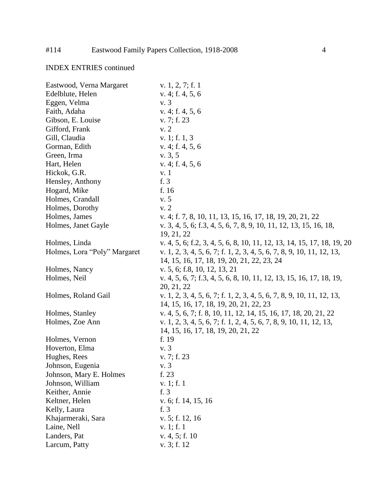## INDEX ENTRIES continued

| Eastwood, Verna Margaret     | v. 1, 2, 7; f. 1                                                       |
|------------------------------|------------------------------------------------------------------------|
| Edelblute, Helen             | v. 4; f. 4, 5, 6                                                       |
| Eggen, Velma                 | v. 3                                                                   |
| Faith, Adaha                 | v. 4; f. 4, 5, 6                                                       |
| Gibson, E. Louise            | v. 7; f. 23                                                            |
| Gifford, Frank               | v. 2                                                                   |
| Gill, Claudia                | v. 1; f. $1, 3$                                                        |
| Gorman, Edith                | v. 4; f. 4, 5, 6                                                       |
| Green, Irma                  | v. 3, 5                                                                |
| Hart, Helen                  | v. 4; f. 4, 5, 6                                                       |
| Hickok, G.R.                 | v. 1                                                                   |
| Hensley, Anthony             | f. 3                                                                   |
| Hogard, Mike                 | f. 16                                                                  |
| Holmes, Crandall             | v. 5                                                                   |
| Holmes, Dorothy              | v.2                                                                    |
| Holmes, James                | v. 4; f. 7, 8, 10, 11, 13, 15, 16, 17, 18, 19, 20, 21, 22              |
| Holmes, Janet Gayle          | v. 3, 4, 5, 6; f.3, 4, 5, 6, 7, 8, 9, 10, 11, 12, 13, 15, 16, 18,      |
|                              | 19, 21, 22                                                             |
| Holmes, Linda                | v. 4, 5, 6; f.2, 3, 4, 5, 6, 8, 10, 11, 12, 13, 14, 15, 17, 18, 19, 20 |
| Holmes, Lora "Poly" Margaret | v. 1, 2, 3, 4, 5, 6, 7; f. 1, 2, 3, 4, 5, 6, 7, 8, 9, 10, 11, 12, 13,  |
|                              | 14, 15, 16, 17, 18, 19, 20, 21, 22, 23, 24                             |
| Holmes, Nancy                | v. 5, 6; f.8, 10, 12, 13, 21                                           |
| Holmes, Neil                 | v. 4, 5, 6, 7; f.3, 4, 5, 6, 8, 10, 11, 12, 13, 15, 16, 17, 18, 19,    |
|                              | 20, 21, 22                                                             |
| Holmes, Roland Gail          | v. 1, 2, 3, 4, 5, 6, 7; f. 1, 2, 3, 4, 5, 6, 7, 8, 9, 10, 11, 12, 13,  |
|                              | 14, 15, 16, 17, 18, 19, 20, 21, 22, 23                                 |
| Holmes, Stanley              | v. 4, 5, 6, 7; f. 8, 10, 11, 12, 14, 15, 16, 17, 18, 20, 21, 22        |
| Holmes, Zoe Ann              | v. 1, 2, 3, 4, 5, 6, 7; f. 1, 2, 4, 5, 6, 7, 8, 9, 10, 11, 12, 13,     |
|                              | 14, 15, 16, 17, 18, 19, 20, 21, 22                                     |
| Holmes, Vernon               | f. 19                                                                  |
| Hoverton, Elma               | v. 3                                                                   |
| Hughes, Rees                 | v. 7; f. 23                                                            |
| Johnson, Eugenia             | v. 3                                                                   |
| Johnson, Mary E. Holmes      | f. 23                                                                  |
| Johnson, William             | v. 1; f. 1                                                             |
| Keither, Annie               | f. 3                                                                   |
| Keltner, Helen               | v. 6; f. 14, 15, 16                                                    |
| Kelly, Laura                 | f. 3                                                                   |
| Khajarmeraki, Sara           | $v. 5$ ; f. 12, 16                                                     |
| Laine, Nell                  | v. 1; f. 1                                                             |
| Landers, Pat                 | v. $4, 5$ ; f. 10                                                      |
| Larcum, Patty                | v. 3; f. 12                                                            |